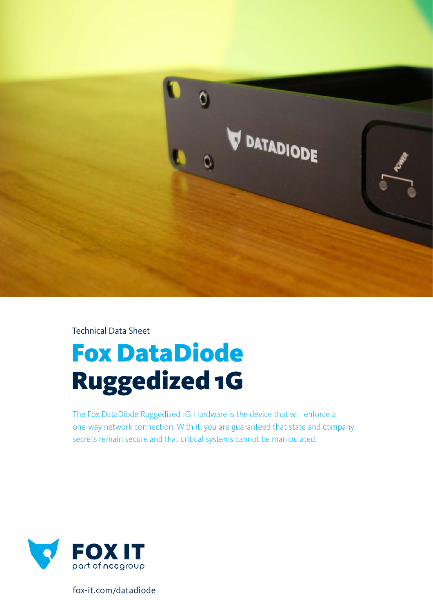

Technical Data Sheet

# Fox DataDiode Ruggedized 1G

The Fox DataDiode Ruggedized 1G Hardware is the device that will enforce a one-way network connection. With it, you are guaranteed that state and company secrets remain secure and that critical systems cannot be manipulated.



fox-it.com/datadiode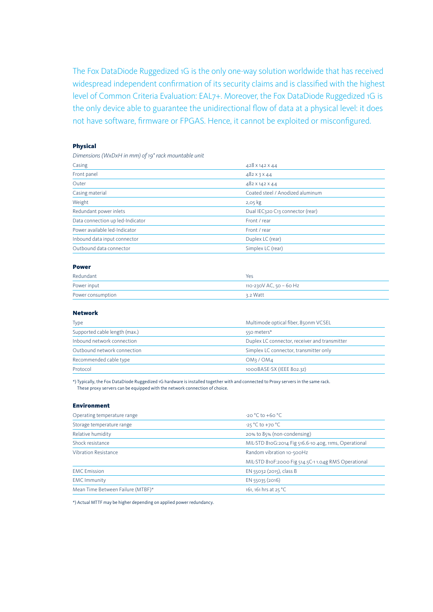The Fox DataDiode Ruggedized 1G is the only one-way solution worldwide that has received widespread independent confirmation of its security claims and is classified with the highest level of Common Criteria Evaluation: EAL7+. Moreover, the Fox DataDiode Ruggedized 1G is the only device able to guarantee the unidirectional flow of data at a physical level: it does not have software, firmware or FPGAS. Hence, it cannot be exploited or misconfigured.

### Physical

*Dimensions (WxDxH in mm) of 19" rack mountable unit*

| Casing                           | 428 x 142 x 44                   |
|----------------------------------|----------------------------------|
| Front panel                      | $482 \times 3 \times 44$         |
| Outer                            | 482 X 142 X 44                   |
| Casing material                  | Coated steel / Anodized aluminum |
| Weight                           | $2,05$ kg                        |
| Redundant power inlets           | Dual IEC320 C13 connector (rear) |
| Data connection up led-Indicator | Front / rear                     |
| Power available led-Indicator    | Front / rear                     |
| Inbound data input connector     | Duplex LC (rear)                 |
| Outbound data connector          | Simplex LC (rear)                |

#### Power

| Redundant         | Yes                     |
|-------------------|-------------------------|
| Power input       | 110-230V AC, 50 – 60 Hz |
| Power consumption | ี่ 3.2 Watt             |

## Network

| Type                          | Multimode optical fiber, 850nm VCSEL          |
|-------------------------------|-----------------------------------------------|
| Supported cable length (max.) | 550 meters*                                   |
| Inbound network connection    | Duplex LC connector, receiver and transmitter |
| Outbound network connection   | Simplex LC connector, transmitter only        |
| Recommended cable type        | OM3 / OM4                                     |
| Protocol                      | 1000BASE-SX (IEEE 802.3Z)                     |

\*) Typically, the Fox DataDiode Ruggedized 1G hardware is installed together with and connected to Proxy servers in the same rack. These proxy servers can be equipped with the network connection of choice.

#### Environment

| Operating temperature range       | $-20^{\circ}$ C to $+60^{\circ}$ C                    |
|-----------------------------------|-------------------------------------------------------|
| Storage temperature range         | $-25\degree$ C to +70 $\degree$ C                     |
| Relative humidity                 | 20% to 85% (non-condensing)                           |
| Shock resistance                  | MIL-STD 810G:2014 Fig 516.6-10 40g, 11ms, Operational |
| <b>Vibration Resistance</b>       | Random vibration 10-500Hz                             |
|                                   | MIL-STD 810F:2000 Fig 514.5C-11.04g RMS Operational   |
| <b>EMC</b> Emission               | EN 55032 (2015), class B                              |
| <b>EMC Immunity</b>               | EN 55035 (2016)                                       |
| Mean Time Between Failure (MTBF)* | 161, 161 hrs at 25 °C                                 |

\*) Actual MTTF may be higher depending on applied power redundancy.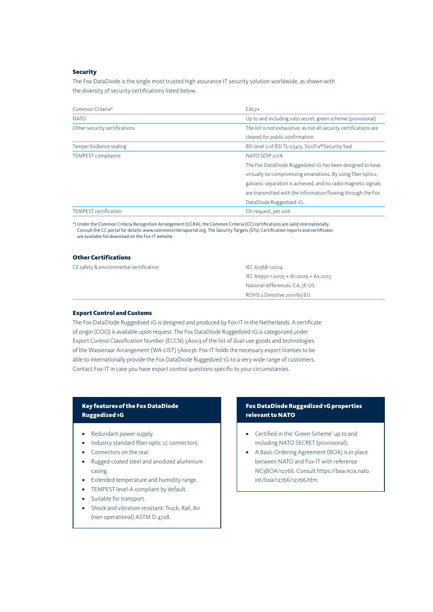## Security

The Fox DataDiode is the single most trusted high assurance IT security solution worldwide, as shown with the diversity of security certifications listed below.

| Common Criteria*              | $EAL7+$                                                            |
|-------------------------------|--------------------------------------------------------------------|
| <b>NATO</b>                   | Up to and including nato secret, green scheme (provisional)        |
| Other security certifications | The list is not exhaustive, as not all security certifications are |
|                               | cleared for public confirmation.                                   |
| Tamper Evidence sealing       | BSI level 2 of BSI TL-03415, SicoTra®Security Seal                 |
| <b>TEMPEST</b> compliance     | NATO SDIP-27/A                                                     |
|                               | The Fox DataDiode Ruggedized 1G has been designed to have          |
|                               | virtually no compromising emanations. By using fiber optics,       |
|                               | galvanic separation is achieved, and no radio magnetic signals     |
|                               | are transmitted with the information flowing through the Fox       |
|                               | DataDiode Ruggedized 1G.                                           |
| TEMPEST certification         | On request, per unit                                               |

\*) Under the Common Criteria Recognition Arrangement (CCRA), the Common Criteria (CC) certifications are valid internationally. Consult the CC portal for details: www.commoncriteriaportal.org. The Security Targets (STs), Certification reports and certificates are available for download on the Fox-IT website.

#### Other Certifications

| CE safety & environmental certification | IEC 62368-1:2014                     |
|-----------------------------------------|--------------------------------------|
|                                         | IEC 60950-1:2005 + A1:2009 + A2:2013 |
|                                         | National differences: CA, IP, US     |
|                                         | ROHS 2 Directive 2011/65/EU          |

#### Export Control and Customs

The Fox DataDiode Ruggedized 1G is designed and produced by Fox-IT in the Netherlands. A certificate of origin (COO) is available upon request. The Fox DataDiode Ruggedized 1G is categorized under Export Control Classification Number (ECCN) 5A003 of the list of dual-use goods and technologies of the Wassenaar Arrangement (WA-LIST) 5A003b. Fox-IT holds the necessary export licenses to be able to internationally provide the Fox DataDiode Ruggedized 1G to a very wide range of customers. Contact Fox-IT in case you have export control questions specific to your circumstances.

# Key features of the Fox DataDiode Ruggedized 1G

- **•** Redundant power supply.
- Industry standard fiber optic LC connectors.
- **•** Connectors on the rear.
- **•** Rugged coated steel and anodized aluminium casing.
- **•** Extended temperature and humidity range.
- **•** TEMPEST level-A compliant by default.
- **•** Suitable for transport.
- **•** Shock and vibration resistant: Truck, Rail, Air (non operational) ASTM D 4728.

# Fox DataDiode Ruggedized 1G properties relevant to NATO

- **•** Certified in the 'Green Scheme' up to and including NATO SECRET (provisional).
- **•** A Basic Ordering Agreement (BOA) is in place between NATO and Fox-IT with reference NC3BOA/12766. Consult https://boa.ncia.nato. int/boa/12766/12766.htm.